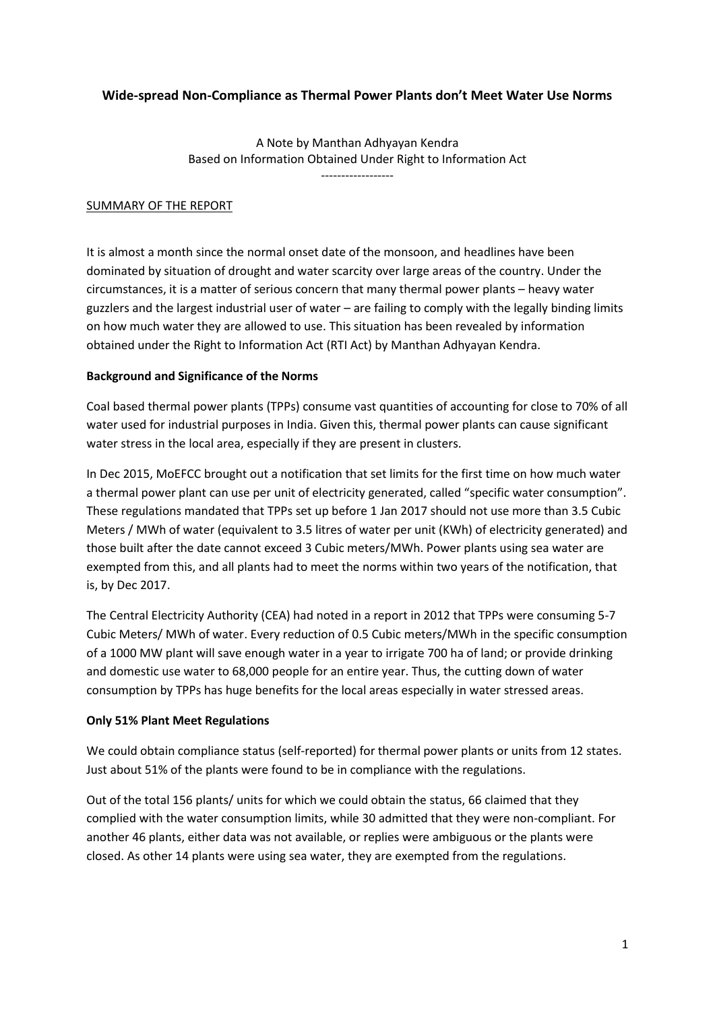# **Wide-spread Non-Compliance as Thermal Power Plants don't Meet Water Use Norms**

A Note by Manthan Adhyayan Kendra Based on Information Obtained Under Right to Information Act ------------------

### SUMMARY OF THE REPORT

It is almost a month since the normal onset date of the monsoon, and headlines have been dominated by situation of drought and water scarcity over large areas of the country. Under the circumstances, it is a matter of serious concern that many thermal power plants – heavy water guzzlers and the largest industrial user of water – are failing to comply with the legally binding limits on how much water they are allowed to use. This situation has been revealed by information obtained under the Right to Information Act (RTI Act) by Manthan Adhyayan Kendra.

### **Background and Significance of the Norms**

Coal based thermal power plants (TPPs) consume vast quantities of accounting for close to 70% of all water used for industrial purposes in India. Given this, thermal power plants can cause significant water stress in the local area, especially if they are present in clusters.

In Dec 2015, MoEFCC brought out a notification that set limits for the first time on how much water a thermal power plant can use per unit of electricity generated, called "specific water consumption". These regulations mandated that TPPs set up before 1 Jan 2017 should not use more than 3.5 Cubic Meters / MWh of water (equivalent to 3.5 litres of water per unit (KWh) of electricity generated) and those built after the date cannot exceed 3 Cubic meters/MWh. Power plants using sea water are exempted from this, and all plants had to meet the norms within two years of the notification, that is, by Dec 2017.

The Central Electricity Authority (CEA) had noted in a report in 2012 that TPPs were consuming 5-7 Cubic Meters/ MWh of water. Every reduction of 0.5 Cubic meters/MWh in the specific consumption of a 1000 MW plant will save enough water in a year to irrigate 700 ha of land; or provide drinking and domestic use water to 68,000 people for an entire year. Thus, the cutting down of water consumption by TPPs has huge benefits for the local areas especially in water stressed areas.

#### **Only 51% Plant Meet Regulations**

We could obtain compliance status (self-reported) for thermal power plants or units from 12 states. Just about 51% of the plants were found to be in compliance with the regulations.

Out of the total 156 plants/ units for which we could obtain the status, 66 claimed that they complied with the water consumption limits, while 30 admitted that they were non-compliant. For another 46 plants, either data was not available, or replies were ambiguous or the plants were closed. As other 14 plants were using sea water, they are exempted from the regulations.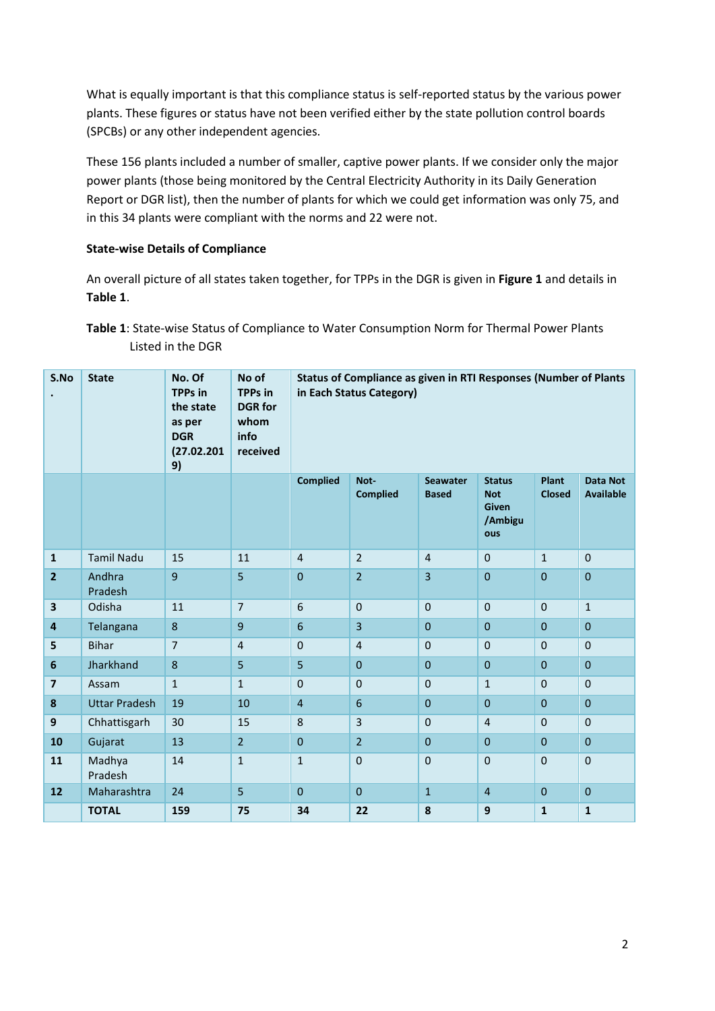What is equally important is that this compliance status is self-reported status by the various power plants. These figures or status have not been verified either by the state pollution control boards (SPCBs) or any other independent agencies.

These 156 plants included a number of smaller, captive power plants. If we consider only the major power plants (those being monitored by the Central Electricity Authority in its Daily Generation Report or DGR list), then the number of plants for which we could get information was only 75, and in this 34 plants were compliant with the norms and 22 were not.

## **State-wise Details of Compliance**

An overall picture of all states taken together, for TPPs in the DGR is given in **Figure 1** and details in **Table 1**.

**Table 1**: State-wise Status of Compliance to Water Consumption Norm for Thermal Power Plants Listed in the DGR

| S.No                    | <b>State</b>         | No. Of<br><b>TPPs</b> in<br>the state<br>as per<br><b>DGR</b><br>(27.02.201<br>9) | No of<br><b>TPPs</b> in<br><b>DGR</b> for<br>whom<br>info<br>received | Status of Compliance as given in RTI Responses (Number of Plants<br>in Each Status Category) |                         |                                 |                                                               |                               |                                     |
|-------------------------|----------------------|-----------------------------------------------------------------------------------|-----------------------------------------------------------------------|----------------------------------------------------------------------------------------------|-------------------------|---------------------------------|---------------------------------------------------------------|-------------------------------|-------------------------------------|
|                         |                      |                                                                                   |                                                                       | <b>Complied</b>                                                                              | Not-<br><b>Complied</b> | <b>Seawater</b><br><b>Based</b> | <b>Status</b><br><b>Not</b><br><b>Given</b><br>/Ambigu<br>ous | <b>Plant</b><br><b>Closed</b> | <b>Data Not</b><br><b>Available</b> |
| $\mathbf{1}$            | <b>Tamil Nadu</b>    | 15                                                                                | 11                                                                    | $\overline{4}$                                                                               | $\overline{2}$          | $\overline{4}$                  | $\pmb{0}$                                                     | $\mathbf{1}$                  | $\mathbf 0$                         |
| $\overline{2}$          | Andhra<br>Pradesh    | 9                                                                                 | 5                                                                     | $\overline{0}$                                                                               | $\overline{2}$          | $\overline{3}$                  | $\overline{0}$                                                | $\overline{0}$                | $\mathbf{0}$                        |
| 3                       | Odisha               | 11                                                                                | $\overline{7}$                                                        | 6                                                                                            | $\mathbf 0$             | $\mathbf 0$                     | $\mathbf 0$                                                   | $\mathbf{0}$                  | $\mathbf{1}$                        |
| $\overline{\mathbf{4}}$ | Telangana            | $\bf 8$                                                                           | 9                                                                     | $6\phantom{1}$                                                                               | 3                       | $\boldsymbol{0}$                | $\boldsymbol{0}$                                              | $\mathbf 0$                   | $\pmb{0}$                           |
| 5                       | <b>Bihar</b>         | $\overline{7}$                                                                    | $\overline{4}$                                                        | $\mathbf 0$                                                                                  | $\overline{4}$          | $\mathbf 0$                     | $\mathbf 0$                                                   | $\mathbf 0$                   | $\mathbf 0$                         |
| $6\phantom{a}$          | Jharkhand            | $\bf 8$                                                                           | 5                                                                     | 5                                                                                            | $\mathbf{0}$            | $\mathbf{0}$                    | $\boldsymbol{0}$                                              | $\mathbf{0}$                  | $\mathbf{0}$                        |
| $\overline{\mathbf{z}}$ | Assam                | $\mathbf{1}$                                                                      | $\mathbf{1}$                                                          | $\mathbf 0$                                                                                  | $\Omega$                | $\mathbf 0$                     | $\mathbf{1}$                                                  | $\Omega$                      | $\Omega$                            |
| 8                       | <b>Uttar Pradesh</b> | 19                                                                                | 10                                                                    | $\overline{\mathbf{4}}$                                                                      | 6                       | $\mathbf{0}$                    | 0                                                             | $\mathbf{0}$                  | $\mathbf{0}$                        |
| 9                       | Chhattisgarh         | 30                                                                                | 15                                                                    | 8                                                                                            | 3                       | $\mathbf{0}$                    | 4                                                             | $\mathbf{0}$                  | $\mathbf{0}$                        |
| 10                      | Gujarat              | 13                                                                                | $\overline{2}$                                                        | $\mathbf{0}$                                                                                 | $\overline{2}$          | $\mathbf{0}$                    | $\pmb{0}$                                                     | $\Omega$                      | $\mathbf{0}$                        |
| 11                      | Madhya<br>Pradesh    | 14                                                                                | $\mathbf{1}$                                                          | $\mathbf 1$                                                                                  | $\mathbf 0$             | $\mathbf 0$                     | $\mathbf 0$                                                   | $\mathbf 0$                   | $\mathbf 0$                         |
| 12                      | Maharashtra          | 24                                                                                | 5                                                                     | $\mathbf{0}$                                                                                 | $\mathbf{0}$            | $\mathbf{1}$                    | $\overline{4}$                                                | $\mathbf{0}$                  | $\mathbf{0}$                        |
|                         | <b>TOTAL</b>         | 159                                                                               | 75                                                                    | 34                                                                                           | 22                      | 8                               | 9                                                             | $\mathbf{1}$                  | $\mathbf 1$                         |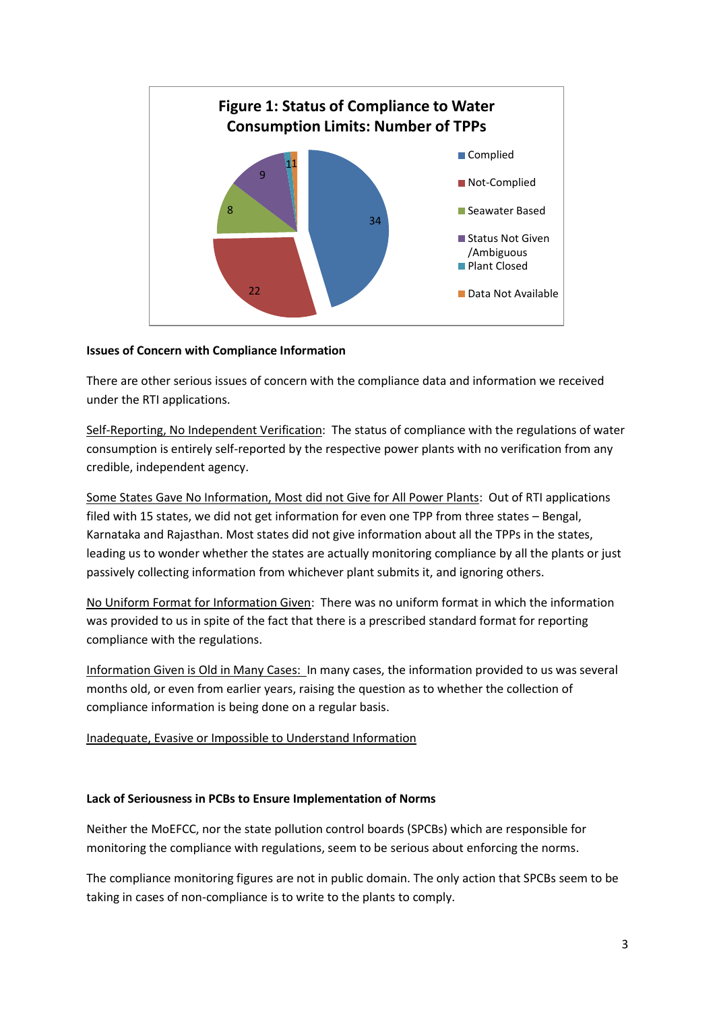

## **Issues of Concern with Compliance Information**

There are other serious issues of concern with the compliance data and information we received under the RTI applications.

Self-Reporting, No Independent Verification: The status of compliance with the regulations of water consumption is entirely self-reported by the respective power plants with no verification from any credible, independent agency.

Some States Gave No Information, Most did not Give for All Power Plants: Out of RTI applications filed with 15 states, we did not get information for even one TPP from three states – Bengal, Karnataka and Rajasthan. Most states did not give information about all the TPPs in the states, leading us to wonder whether the states are actually monitoring compliance by all the plants or just passively collecting information from whichever plant submits it, and ignoring others.

No Uniform Format for Information Given: There was no uniform format in which the information was provided to us in spite of the fact that there is a prescribed standard format for reporting compliance with the regulations.

Information Given is Old in Many Cases: In many cases, the information provided to us was several months old, or even from earlier years, raising the question as to whether the collection of compliance information is being done on a regular basis.

Inadequate, Evasive or Impossible to Understand Information

### **Lack of Seriousness in PCBs to Ensure Implementation of Norms**

Neither the MoEFCC, nor the state pollution control boards (SPCBs) which are responsible for monitoring the compliance with regulations, seem to be serious about enforcing the norms.

The compliance monitoring figures are not in public domain. The only action that SPCBs seem to be taking in cases of non-compliance is to write to the plants to comply.